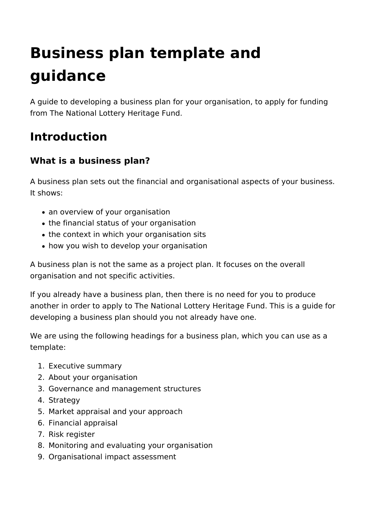# **Business plan template and guidance**

A guide to developing a business plan for your organisation, to apply for funding from The National Lottery Heritage Fund.

## **Introduction**

## **What is a business plan?**

A business plan sets out the financial and organisational aspects of your business. It shows:

- an overview of your organisation
- the financial status of your organisation
- the context in which your organisation sits
- how you wish to develop your organisation

A business plan is not the same as a project plan. It focuses on the overall organisation and not specific activities.

If you already have a business plan, then there is no need for you to produce another in order to apply to The National Lottery Heritage Fund. This is a guide for developing a business plan should you not already have one.

We are using the following headings for a business plan, which you can use as a template:

- 1. Executive summary
- 2. About your organisation
- 3. Governance and management structures
- 4. Strategy
- 5. Market appraisal and your approach
- 6. Financial appraisal
- 7. Risk register
- 8. Monitoring and evaluating your organisation
- 9. Organisational impact assessment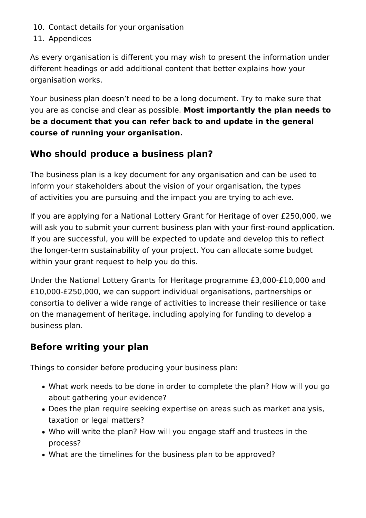- 10. Contact details for your organisation
- 11. Appendices

As every organisation is different you may wish to present the information under different headings or add additional content that better explains how your organisation works.

Your business plan doesn't need to be a long document. Try to make sure that you are as concise and clear as possible. **Most importantly the plan needs to be a document that you can refer back to and update in the general course of running your organisation.** 

## **Who should produce a business plan?**

The business plan is a key document for any organisation and can be used to inform your stakeholders about the vision of your organisation, the types of activities you are pursuing and the impact you are trying to achieve.

If you are applying for a National Lottery Grant for Heritage of over £250,000, we will ask you to submit your current business plan with your first-round application. If you are successful, you will be expected to update and develop this to reflect the longer-term sustainability of your project. You can allocate some budget within your grant request to help you do this.

Under the National Lottery Grants for Heritage programme £3,000-£10,000 and £10,000-£250,000, we can support individual organisations, partnerships or consortia to deliver a wide range of activities to increase their resilience or take on the management of heritage, including applying for funding to develop a business plan.

## **Before writing your plan**

Things to consider before producing your business plan:

- What work needs to be done in order to complete the plan? How will you go about gathering your evidence?
- Does the plan require seeking expertise on areas such as market analysis, taxation or legal matters?
- Who will write the plan? How will you engage staff and trustees in the process?
- What are the timelines for the business plan to be approved?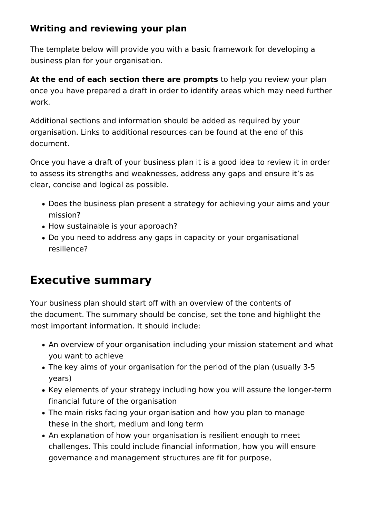## **Writing and reviewing your plan**

The template below will provide you with a basic framework for developing a business plan for your organisation.

**At the end of each section there are prompts** to help you review your plan once you have prepared a draft in order to identify areas which may need further work.

Additional sections and information should be added as required by your organisation. Links to additional resources can be found at the end of this document.

Once you have a draft of your business plan it is a good idea to review it in order to assess its strengths and weaknesses, address any gaps and ensure it's as clear, concise and logical as possible.

- Does the business plan present a strategy for achieving your aims and your mission?
- How sustainable is your approach?
- Do you need to address any gaps in capacity or your organisational resilience?

## **Executive summary**

Your business plan should start off with an overview of the contents of the document. The summary should be concise, set the tone and highlight the most important information. It should include:

- An overview of your organisation including your mission statement and what you want to achieve
- The key aims of your organisation for the period of the plan (usually 3-5 years)
- Key elements of your strategy including how you will assure the longer-term financial future of the organisation
- The main risks facing your organisation and how you plan to manage these in the short, medium and long term
- An explanation of how your organisation is resilient enough to meet challenges. This could include financial information, how you will ensure governance and management structures are fit for purpose,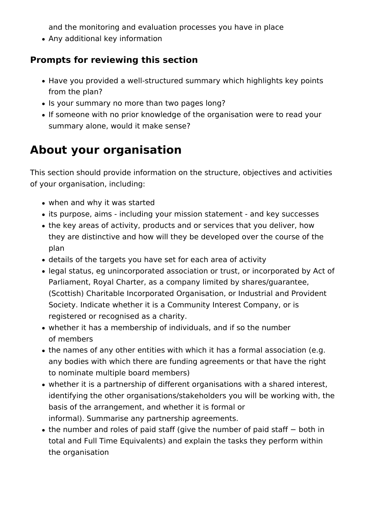and the monitoring and evaluation processes you have in place

Any additional key information

## **Prompts for reviewing this section**

- Have you provided a well-structured summary which highlights key points from the plan?
- Is your summary no more than two pages long?
- If someone with no prior knowledge of the organisation were to read your summary alone, would it make sense?

## **About your organisation**

This section should provide information on the structure, objectives and activities of your organisation, including:

- when and why it was started
- its purpose, aims including your mission statement and key successes
- the key areas of activity, products and or services that you deliver, how they are distinctive and how will they be developed over the course of the plan
- details of the targets you have set for each area of activity
- legal status, eg unincorporated association or trust, or incorporated by Act of Parliament, Royal Charter, as a company limited by shares/guarantee, (Scottish) Charitable Incorporated Organisation, or Industrial and Provident Society. Indicate whether it is a Community Interest Company, or is registered or recognised as a charity.
- whether it has a membership of individuals, and if so the number of members
- the names of any other entities with which it has a formal association (e.g. any bodies with which there are funding agreements or that have the right to nominate multiple board members)
- whether it is a partnership of different organisations with a shared interest, identifying the other organisations/stakeholders you will be working with, the basis of the arrangement, and whether it is formal or informal). Summarise any partnership agreements.
- the number and roles of paid staff (give the number of paid staff both in total and Full Time Equivalents) and explain the tasks they perform within the organisation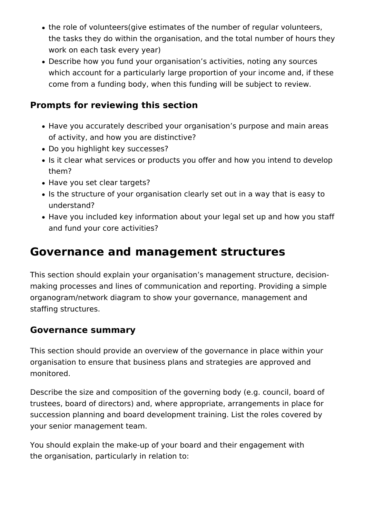- the role of volunteers(give estimates of the number of regular volunteers, the tasks they do within the organisation, and the total number of hours they work on each task every year)
- Describe how you fund your organisation's activities, noting any sources which account for a particularly large proportion of your income and, if these come from a funding body, when this funding will be subject to review.

## **Prompts for reviewing this section**

- Have you accurately described your organisation's purpose and main areas of activity, and how you are distinctive?
- Do you highlight key successes?
- Is it clear what services or products you offer and how you intend to develop them?
- Have you set clear targets?
- Is the structure of your organisation clearly set out in a way that is easy to understand?
- Have you included key information about your legal set up and how you staff and fund your core activities?

## **Governance and management structures**

This section should explain your organisation's management structure, decisionmaking processes and lines of communication and reporting. Providing a simple organogram/network diagram to show your governance, management and staffing structures.

## **Governance summary**

This section should provide an overview of the governance in place within your organisation to ensure that business plans and strategies are approved and monitored.

Describe the size and composition of the governing body (e.g. council, board of trustees, board of directors) and, where appropriate, arrangements in place for succession planning and board development training. List the roles covered by your senior management team.

You should explain the make-up of your board and their engagement with the organisation, particularly in relation to: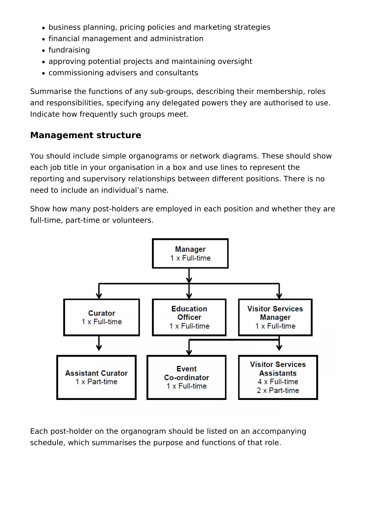- business planning, pricing policies and marketing strategies
- financial management and administration
- fundraising
- approving potential projects and maintaining oversight
- commissioning advisers and consultants

Summarise the functions of any sub-groups, describing their membership, roles and responsibilities, specifying any delegated powers they are authorised to use. Indicate how frequently such groups meet.

## **Management structure**

You should include simple organograms or network diagrams. These should show each job title in your organisation in a box and use lines to represent the reporting and supervisory relationships between different positions. There is no need to include an individual's name.

Show how many post-holders are employed in each position and whether they are full-time, part-time or volunteers.



Each post-holder on the organogram should be listed on an accompanying schedule, which summarises the purpose and functions of that role.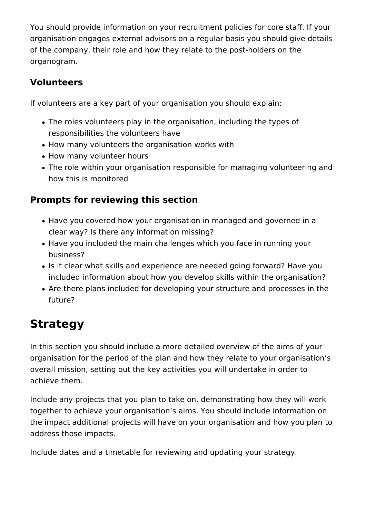You should provide information on your recruitment policies for core staff. If your organisation engages external advisors on a regular basis you should give details of the company, their role and how they relate to the post-holders on the organogram.

## **Volunteers**

If volunteers are a key part of your organisation you should explain:

- The roles volunteers play in the organisation, including the types of responsibilities the volunteers have
- How many volunteers the organisation works with
- How many volunteer hours
- The role within your organisation responsible for managing volunteering and how this is monitored

## **Prompts for reviewing this section**

- Have you covered how your organisation in managed and governed in a clear way? Is there any information missing?
- Have you included the main challenges which you face in running your business?
- Is it clear what skills and experience are needed going forward? Have you included information about how you develop skills within the organisation?
- Are there plans included for developing your structure and processes in the future?

## **Strategy**

In this section you should include a more detailed overview of the aims of your organisation for the period of the plan and how they relate to your organisation's overall mission, setting out the key activities you will undertake in order to achieve them.

Include any projects that you plan to take on, demonstrating how they will work together to achieve your organisation's aims. You should include information on the impact additional projects will have on your organisation and how you plan to address those impacts.

Include dates and a timetable for reviewing and updating your strategy.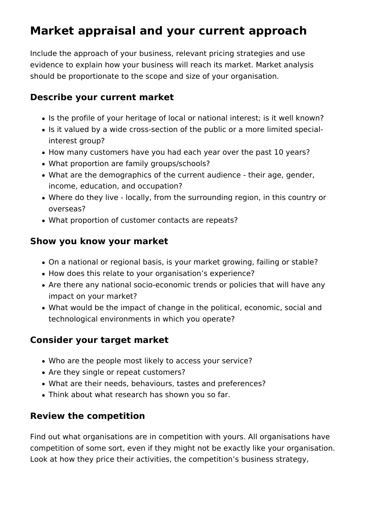## **Market appraisal and your current approach**

Include the approach of your business, relevant pricing strategies and use evidence to explain how your business will reach its market. Market analysis should be proportionate to the scope and size of your organisation.

## **Describe your current market**

- Is the profile of your heritage of local or national interest; is it well known?
- Is it valued by a wide cross-section of the public or a more limited specialinterest group?
- How many customers have you had each year over the past 10 years?
- What proportion are family groups/schools?
- What are the demographics of the current audience their age, gender, income, education, and occupation?
- Where do they live locally, from the surrounding region, in this country or overseas?
- What proportion of customer contacts are repeats?

## **Show you know your market**

- On a national or regional basis, is your market growing, failing or stable?
- How does this relate to your organisation's experience?
- Are there any national socio-economic trends or policies that will have any impact on your market?
- What would be the impact of change in the political, economic, social and technological environments in which you operate?

## **Consider your target market**

- Who are the people most likely to access your service?
- Are they single or repeat customers?
- What are their needs, behaviours, tastes and preferences?
- Think about what research has shown you so far.

## **Review the competition**

Find out what organisations are in competition with yours. All organisations have competition of some sort, even if they might not be exactly like your organisation. Look at how they price their activities, the competition's business strategy,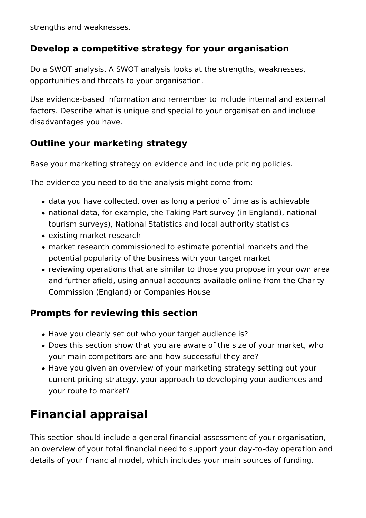strengths and weaknesses.

## **Develop a competitive strategy for your organisation**

Do a SWOT analysis. A SWOT analysis looks at the strengths, weaknesses, opportunities and threats to your organisation.

Use evidence-based information and remember to include internal and external factors. Describe what is unique and special to your organisation and include disadvantages you have.

## **Outline your marketing strategy**

Base your marketing strategy on evidence and include pricing policies.

The evidence you need to do the analysis might come from:

- data you have collected, over as long a period of time as is achievable
- national data, for example, the Taking Part survey (in England), national tourism surveys), National Statistics and local authority statistics
- existing market research
- market research commissioned to estimate potential markets and the potential popularity of the business with your target market
- reviewing operations that are similar to those you propose in your own area and further afield, using annual accounts available online from the Charity Commission (England) or Companies House

## **Prompts for reviewing this section**

- Have you clearly set out who your target audience is?
- Does this section show that you are aware of the size of your market, who your main competitors are and how successful they are?
- Have you given an overview of your marketing strategy setting out your current pricing strategy, your approach to developing your audiences and your route to market?

## **Financial appraisal**

This section should include a general financial assessment of your organisation, an overview of your total financial need to support your day-to-day operation and details of your financial model, which includes your main sources of funding.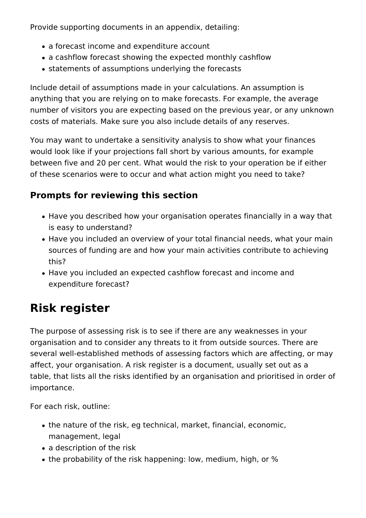Provide supporting documents in an appendix, detailing:

- a forecast income and expenditure account
- a cashflow forecast showing the expected monthly cashflow
- statements of assumptions underlying the forecasts

Include detail of assumptions made in your calculations. An assumption is anything that you are relying on to make forecasts. For example, the average number of visitors you are expecting based on the previous year, or any unknown costs of materials. Make sure you also include details of any reserves.

You may want to undertake a sensitivity analysis to show what your finances would look like if your projections fall short by various amounts, for example between five and 20 per cent. What would the risk to your operation be if either of these scenarios were to occur and what action might you need to take?

## **Prompts for reviewing this section**

- Have you described how your organisation operates financially in a way that is easy to understand?
- Have you included an overview of your total financial needs, what your main sources of funding are and how your main activities contribute to achieving this?
- Have you included an expected cashflow forecast and income and expenditure forecast?

## **Risk register**

The purpose of assessing risk is to see if there are any weaknesses in your organisation and to consider any threats to it from outside sources. There are several well-established methods of assessing factors which are affecting, or may affect, your organisation. A risk register is a document, usually set out as a table, that lists all the risks identified by an organisation and prioritised in order of importance.

For each risk, outline:

- the nature of the risk, eg technical, market, financial, economic, management, legal
- a description of the risk
- the probability of the risk happening: low, medium, high, or %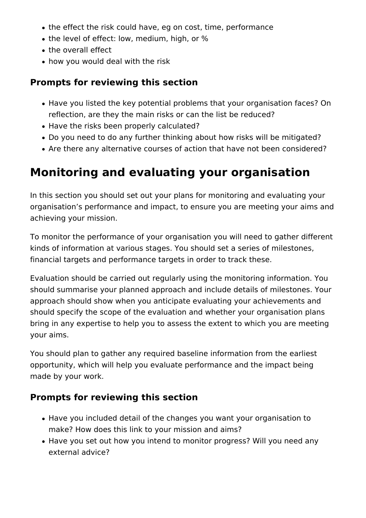- the effect the risk could have, eg on cost, time, performance
- the level of effect: low, medium, high, or %
- the overall effect
- how you would deal with the risk

## **Prompts for reviewing this section**

- Have you listed the key potential problems that your organisation faces? On reflection, are they the main risks or can the list be reduced?
- Have the risks been properly calculated?
- Do you need to do any further thinking about how risks will be mitigated?
- Are there any alternative courses of action that have not been considered?

## **Monitoring and evaluating your organisation**

In this section you should set out your plans for monitoring and evaluating your organisation's performance and impact, to ensure you are meeting your aims and achieving your mission.

To monitor the performance of your organisation you will need to gather different kinds of information at various stages. You should set a series of milestones, financial targets and performance targets in order to track these.

Evaluation should be carried out regularly using the monitoring information. You should summarise your planned approach and include details of milestones. Your approach should show when you anticipate evaluating your achievements and should specify the scope of the evaluation and whether your organisation plans bring in any expertise to help you to assess the extent to which you are meeting your aims.

You should plan to gather any required baseline information from the earliest opportunity, which will help you evaluate performance and the impact being made by your work.

## **Prompts for reviewing this section**

- Have you included detail of the changes you want your organisation to make? How does this link to your mission and aims?
- Have you set out how you intend to monitor progress? Will you need any external advice?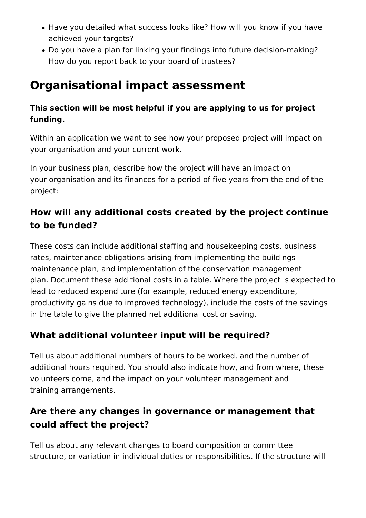- Have you detailed what success looks like? How will you know if you have achieved your targets?
- Do you have a plan for linking your findings into future decision-making? How do you report back to your board of trustees?

## **Organisational impact assessment**

## **This section will be most helpful if you are applying to us for project funding.**

Within an application we want to see how your proposed project will impact on your organisation and your current work.

In your business plan, describe how the project will have an impact on your organisation and its finances for a period of five years from the end of the project:

## **How will any additional costs created by the project continue to be funded?**

These costs can include additional staffing and housekeeping costs, business rates, maintenance obligations arising from implementing the buildings maintenance plan, and implementation of the conservation management plan. Document these additional costs in a table. Where the project is expected to lead to reduced expenditure (for example, reduced energy expenditure, productivity gains due to improved technology), include the costs of the savings in the table to give the planned net additional cost or saving.

## **What additional volunteer input will be required?**

Tell us about additional numbers of hours to be worked, and the number of additional hours required. You should also indicate how, and from where, these volunteers come, and the impact on your volunteer management and training arrangements.

## **Are there any changes in governance or management that could affect the project?**

Tell us about any relevant changes to board composition or committee structure, or variation in individual duties or responsibilities. If the structure will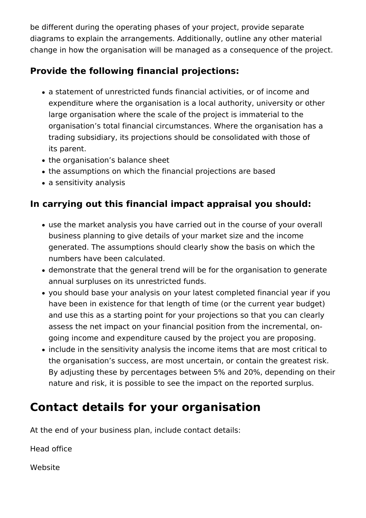be different during the operating phases of your project, provide separate diagrams to explain the arrangements. Additionally, outline any other material change in how the organisation will be managed as a consequence of the project.

## **Provide the following financial projections:**

- a statement of unrestricted funds financial activities, or of income and expenditure where the organisation is a local authority, university or other large organisation where the scale of the project is immaterial to the organisation's total financial circumstances. Where the organisation has a trading subsidiary, its projections should be consolidated with those of its parent.
- the organisation's balance sheet
- the assumptions on which the financial projections are based
- a sensitivity analysis

## **In carrying out this financial impact appraisal you should:**

- use the market analysis you have carried out in the course of your overall business planning to give details of your market size and the income generated. The assumptions should clearly show the basis on which the numbers have been calculated.
- demonstrate that the general trend will be for the organisation to generate annual surpluses on its unrestricted funds.
- you should base your analysis on your latest completed financial year if you have been in existence for that length of time (or the current year budget) and use this as a starting point for your projections so that you can clearly assess the net impact on your financial position from the incremental, ongoing income and expenditure caused by the project you are proposing.
- include in the sensitivity analysis the income items that are most critical to the organisation's success, are most uncertain, or contain the greatest risk. By adjusting these by percentages between 5% and 20%, depending on their nature and risk, it is possible to see the impact on the reported surplus.

## **Contact details for your organisation**

At the end of your business plan, include contact details:

Head office

Website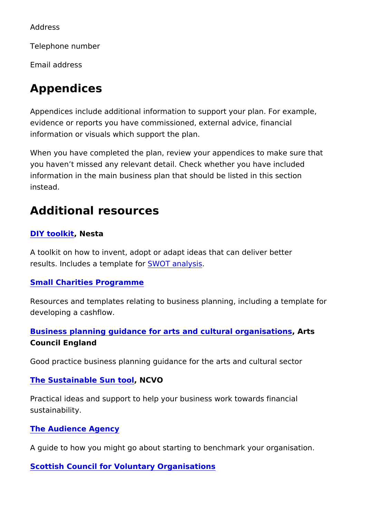Address

Telephone number

Email address

## Appendices

Appendices include additional information to support your plan. evidence or reports you have commissioned, external advice, fi information or visuals which support the plan.

When you have completed the plan, review your appendices to r you haven t missed any relevant detail. Check whether you have information in the main business plan that should be listed in the instead.

### Additional resources

#### [DIY tool](http://diytoolkit.org/tools/)kinesta

A toolkit on how to invent, adopt or adapt ideas that can delive results. Includes a temSpWaOT faonralysis

#### [Small Charities Progr](http://smallcharityfinance.org.uk/resources/)amme

Resources and templates relating to business planning, includir developing a cashflow.

Business planning guidance for arts and cultural gransisations Council England

Good practice business planning guidance for the arts and cultural sector

#### [The Sustainable Sun](http://www.ncvo.org.uk/images/documents/practical_support/funding/sustainable-funding/Sustainable Sun Tool.pdf) NGVO

Practical ideas and support to help your business work towards sustainability.

#### [The Audience Ag](https://www.theaudienceagency.org/insight/an-introduction-to-benchmarking)ency

A quide to how you might go about starting to benchmark your c

[Scottish Council for Voluntary Orga](https://scvo.org.uk/running-your-organisation/business-planning)nisations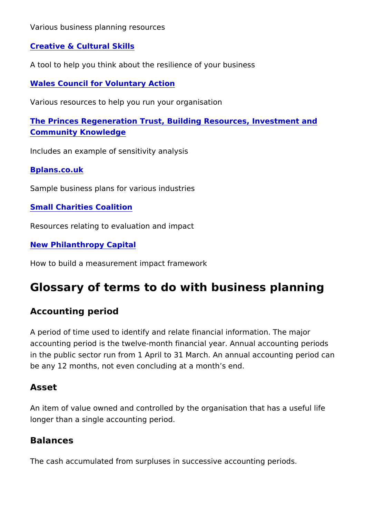Various business planning resources

[Creative & Cultural](https://ccskills.org.uk/careers/develop-your-career/article/how-strong-is-your-business) Skills

A tool to help you think about the resilience of your business

[Wales Council for Voluntary](https://www.wcva.org.uk/advice-guidance/running-your-organisation) Action

Various resources to help you run your organisation

[The Princes Regeneration Trust, Building Resources, I](https://brick-work.org/resources/business-planning/)nvestmen [Community Knowle](https://brick-work.org/resources/business-planning/)dge

Includes an example of sensitivity analysis

[Bplans.co.](http://www.bplans.co.uk/sample_business_plans.cfm)uk

Sample business plans for various industries

[Small Charities Coa](https://www.smallcharities.org.uk/resources-evaluation-impact/)lition

Resources relating to evaluation and impact

[New Philanthropy Ca](https://www.thinknpc.org/resource-hub/npcs-four-pillar-approach/)pital

How to build a measurement impact framework

## Glossary of terms to do with business plan

Accounting period

A period of time used to identify and relate financial informatio accounting period is the twelve-month financial year. Annual ac in the public sector run from 1 April to 31 March. An annual acc be any 12 months, not even concluding at a month s end.

#### Asset

An item of value owned and controlled by the organisation that longer than a single accounting period.

#### Balances

The cash accumulated from surpluses in successive accounting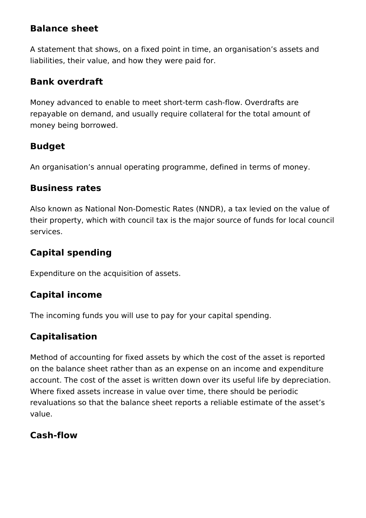## **Balance sheet**

A statement that shows, on a fixed point in time, an organisation's assets and liabilities, their value, and how they were paid for.

## **Bank overdraft**

Money advanced to enable to meet short-term cash-flow. Overdrafts are repayable on demand, and usually require collateral for the total amount of money being borrowed.

## **Budget**

An organisation's annual operating programme, defined in terms of money.

## **Business rates**

Also known as National Non-Domestic Rates (NNDR), a tax levied on the value of their property, which with council tax is the major source of funds for local council services.

## **Capital spending**

Expenditure on the acquisition of assets.

## **Capital income**

The incoming funds you will use to pay for your capital spending.

## **Capitalisation**

Method of accounting for fixed assets by which the cost of the asset is reported on the balance sheet rather than as an expense on an income and expenditure account. The cost of the asset is written down over its useful life by depreciation. Where fixed assets increase in value over time, there should be periodic revaluations so that the balance sheet reports a reliable estimate of the asset's value.

## **Cash-flow**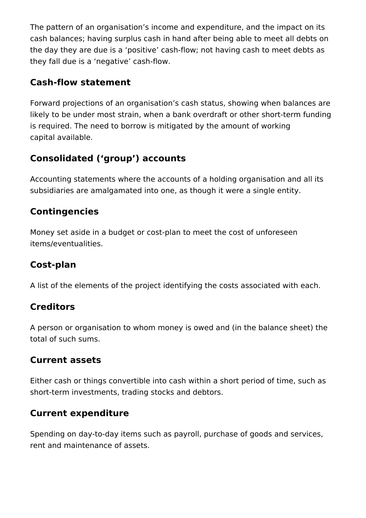The pattern of an organisation's income and expenditure, and the impact on its cash balances; having surplus cash in hand after being able to meet all debts on the day they are due is a 'positive' cash-flow; not having cash to meet debts as they fall due is a 'negative' cash-flow.

## **Cash-flow statement**

Forward projections of an organisation's cash status, showing when balances are likely to be under most strain, when a bank overdraft or other short-term funding is required. The need to borrow is mitigated by the amount of working capital available.

## **Consolidated ('group') accounts**

Accounting statements where the accounts of a holding organisation and all its subsidiaries are amalgamated into one, as though it were a single entity.

## **Contingencies**

Money set aside in a budget or cost-plan to meet the cost of unforeseen items/eventualities.

## **Cost-plan**

A list of the elements of the project identifying the costs associated with each.

## **Creditors**

A person or organisation to whom money is owed and (in the balance sheet) the total of such sums.

## **Current assets**

Either cash or things convertible into cash within a short period of time, such as short-term investments, trading stocks and debtors.

## **Current expenditure**

Spending on day-to-day items such as payroll, purchase of goods and services, rent and maintenance of assets.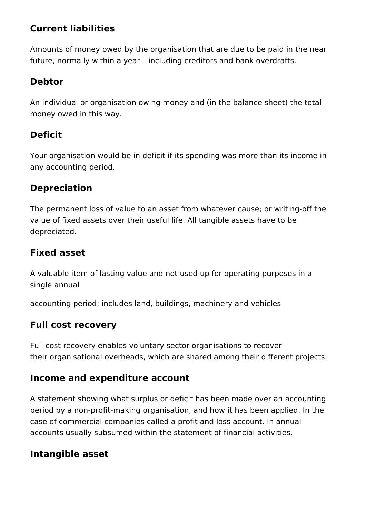## **Current liabilities**

Amounts of money owed by the organisation that are due to be paid in the near future, normally within a year – including creditors and bank overdrafts.

## **Debtor**

An individual or organisation owing money and (in the balance sheet) the total money owed in this way.

## **Deficit**

Your organisation would be in deficit if its spending was more than its income in any accounting period.

### **Depreciation**

The permanent loss of value to an asset from whatever cause; or writing-off the value of fixed assets over their useful life. All tangible assets have to be depreciated.

## **Fixed asset**

A valuable item of lasting value and not used up for operating purposes in a single annual

accounting period: includes land, buildings, machinery and vehicles

## **Full cost recovery**

Full cost recovery enables voluntary sector organisations to recover their organisational overheads, which are shared among their different projects.

### **Income and expenditure account**

A statement showing what surplus or deficit has been made over an accounting period by a non-profit-making organisation, and how it has been applied. In the case of commercial companies called a profit and loss account. In annual accounts usually subsumed within the statement of financial activities.

## **Intangible asset**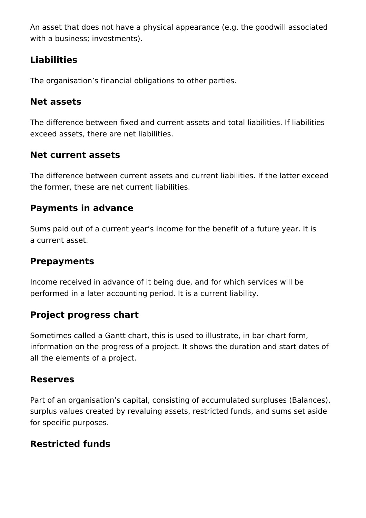An asset that does not have a physical appearance (e.g. the goodwill associated with a business; investments).

## **Liabilities**

The organisation's financial obligations to other parties.

## **Net assets**

The difference between fixed and current assets and total liabilities. If liabilities exceed assets, there are net liabilities.

## **Net current assets**

The difference between current assets and current liabilities. If the latter exceed the former, these are net current liabilities.

## **Payments in advance**

Sums paid out of a current year's income for the benefit of a future year. It is a current asset.

## **Prepayments**

Income received in advance of it being due, and for which services will be performed in a later accounting period. It is a current liability.

## **Project progress chart**

Sometimes called a Gantt chart, this is used to illustrate, in bar-chart form, information on the progress of a project. It shows the duration and start dates of all the elements of a project.

## **Reserves**

Part of an organisation's capital, consisting of accumulated surpluses (Balances), surplus values created by revaluing assets, restricted funds, and sums set aside for specific purposes.

## **Restricted funds**